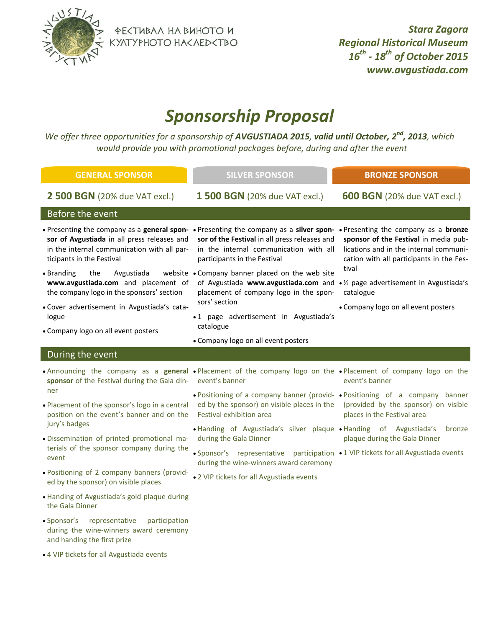

ФЕКТИВАЛ НА ВИНОТО И<br>КУЛТУРНОТО НАКЛЕДКТВО

*Stara Zagora Regional Historical Museum 16th - 18th of October 2015 www.avgustiada.com*

## *Sponsorship Proposal*

*We offer three opportunities for a sponsorship of AVGUSTIADA 2015, valid until October, 2 nd, 2013, which [www.avgustiada.com](http://www.avgustiada.com/) would provide you with promotional packages before, during and after the event*

| <b>GENERAL SPONSOR</b>                                                                                                                                                                                                                                 | <b>SILVER SPONSOR</b>                                                                                                                                                      | <b>BRONZE SPONSOR</b>                                                                                                                |
|--------------------------------------------------------------------------------------------------------------------------------------------------------------------------------------------------------------------------------------------------------|----------------------------------------------------------------------------------------------------------------------------------------------------------------------------|--------------------------------------------------------------------------------------------------------------------------------------|
| <b>2 500 BGN</b> (20% due VAT excl.)                                                                                                                                                                                                                   | <b>1 500 BGN</b> (20% due VAT excl.)                                                                                                                                       | <b>600 BGN</b> (20% due VAT excl.)                                                                                                   |
| Before the event                                                                                                                                                                                                                                       |                                                                                                                                                                            |                                                                                                                                      |
| • Presenting the company as a general spon- • Presenting the company as a silver spon- • Presenting the company as a bronze<br>sor of Avgustiada in all press releases and<br>in the internal communication with all par-<br>ticipants in the Festival | sor of the Festival in all press releases and<br>in the internal communication with all<br>participants in the Festival                                                    | sponsor of the Festival in media pub-<br>lications and in the internal communi-<br>cation with all participants in the Fes-<br>tival |
| • Branding<br>the<br>Avgustiada<br>www.avgustiada.com and placement of<br>the company logo in the sponsors' section                                                                                                                                    | website . Company banner placed on the web site<br>of Avgustiada www.avgustiada.com and • 1/2 page advertisement in Avgustiada's<br>placement of company logo in the spon- | catalogue                                                                                                                            |
| · Cover advertisement in Avgustiada's cata-<br>logue<br>• Company logo on all event posters                                                                                                                                                            | sors' section<br>·1 page advertisement in Avgustiada's<br>catalogue                                                                                                        | • Company logo on all event posters                                                                                                  |
|                                                                                                                                                                                                                                                        | • Company logo on all event posters                                                                                                                                        |                                                                                                                                      |
| During the event                                                                                                                                                                                                                                       |                                                                                                                                                                            |                                                                                                                                      |
| • Announcing the company as a general • Placement of the company logo on the • Placement of company logo on the<br>sponsor of the Festival during the Gala din- event's banner                                                                         |                                                                                                                                                                            | event's banner                                                                                                                       |
|                                                                                                                                                                                                                                                        |                                                                                                                                                                            |                                                                                                                                      |
| ner<br>. Placement of the sponsor's logo in a central<br>position on the event's banner and on the                                                                                                                                                     | • Positioning of a company banner (provid- • Positioning of a company banner<br>ed by the sponsor) on visible places in the<br>Festival exhibition area                    | (provided by the sponsor) on visible<br>places in the Festival area                                                                  |
| jury's badges<br>· Dissemination of printed promotional ma-                                                                                                                                                                                            | • Handing of Avgustiada's silver plaque • Handing of Avgustiada's<br>during the Gala Dinner                                                                                | bronze<br>plaque during the Gala Dinner                                                                                              |
| terials of the sponsor company during the<br>event                                                                                                                                                                                                     | • Sponsor's representative participation • 1 VIP tickets for all Avgustiada events                                                                                         |                                                                                                                                      |
| . Positioning of 2 company banners (provid-<br>ed by the sponsor) on visible places                                                                                                                                                                    | during the wine-winners award ceremony<br>. 2 VIP tickets for all Avgustiada events                                                                                        |                                                                                                                                      |
| • Handing of Avgustiada's gold plaque during<br>the Gala Dinner                                                                                                                                                                                        |                                                                                                                                                                            |                                                                                                                                      |
| • Sponsor's<br>representative<br>participation<br>during the wine-winners award ceremony<br>and handing the first prize                                                                                                                                |                                                                                                                                                                            |                                                                                                                                      |